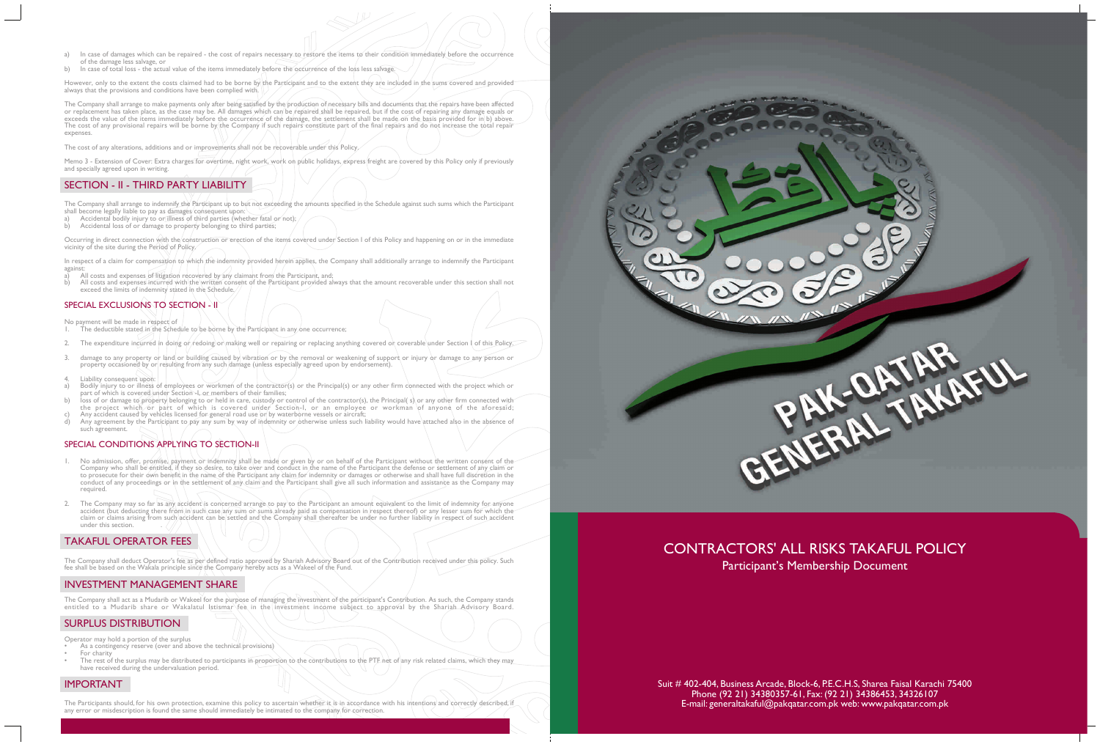- a) In case of damages which can be repaired the cost of repairs necessary to restore the items to their condition immediately before the occurrence of the damage less salvage, or
- b) In case of total loss the actual value of the items immediately before the occurrence of the loss less salvage.

However, only to the extent the costs claimed had to be borne by the Participant and to the extent they are included in the sums covered and provided always that the provisions and conditions have been complied with.

The Company shall arrange to make payments only after being satisfied by the production of necessary bills and documents that the repairs have been affected or replacement has taken place, as the case may be. All damages which can be repaired shall be repaired, but if the cost of repairing any damage equals or exceeds the value of the items immediately before the occurrence of the damage, the settlement shall be made on the basis provided for in b) above. The cost of any provisional repairs will be borne by the Company if such repairs constitute part of the final repairs and do not increase the total repair expenses.

The cost of any alterations, additions and or improvements shall not be recoverable under this Policy.

In respect of a claim for compensation to which the indemnity provided herein applies, the Company shall additionally arrange to indemnify the Participant against:

- a) All costs and expenses of litigation recovered by any claimant from the Participant, and;<br>
b) All costs and expenses incurred with the written consent of the Participant provided als
- b) All costs and expenses incurred with the written consent of the Participant provided always that the amount recoverable under this section shall not exceed the limits of indemnity stated in the Schedule.

#### SPECIAL EXCLUSIONS TO SECTION - II

Memo 3 - Extension of Cover: Extra charges for overtime, night work, work on public holidays, express freight are covered by this Policy only if previously and specially agreed upon in writing.

## SECTION - II - THIRD PARTY LIABILITY

The Company shall arrange to indemnify the Participant up to but not exceeding the amounts specified in the Schedule against such sums which the Participant shall become legally liable to pay as damages consequent up

- Accidental bodily injury to or illness of third parties (whether fatal or not);
- Accidental loss of or damage to property belonging to third parties;

Occurring in direct connection with the construction or erection of the items covered under Section I of this Policy and happening on or in the immediate vicinity of the site during the Period of Policy.

- The deductible stated in the Schedule to be borne by the Participant in any one occurrence;
- 2. The expenditure incurred in doing or redoing or making well or repairing or replacing anything covered or coverable under Section I of this Policy.
- damage to any property or land or building caused by vibration or by the removal or weakening of support or injury or damage to any person or property occasioned by or resulting from any such damage (unless especially agreed upon by endorsement).
- 4. Liability consequent upon:
- a) Bodily injury to or illness of employees or workmen of the contractor(s) or the Principal(s) or any other firm connected with the project which or part of which is covered under Section -I, or members of their families;
- b) loss of or damage to property belonging to or held in care, custody or control of the contractor(s), the Principal( s) or any other firm connected with the project which or part of which is covered under Section-I, or an employee or workman of anyone of the aforesaid;
- c) Any accident caused by vehicles licensed for general road use or by waterborne vessels or aircraft;<br>d) Any agreement by the Participant to pay any sum by way of indemnity or otherwise unless such li Any agreement by the Participant to pay any sum by way of indemnity or otherwise unless such liability would have attached also in the absence of such agreement.

The Company shall deduct Operator's fee as per defined ratio approved by Shariah Advisory Board out of the Contribution received under this policy. Such fee shall be based on the Wakala principle since the Company hereby acts as a Wakeel of the Fund.

No payment will be made in respect of

- As a contingency reserve (over and above the technical provisions) For charity
- The rest of the surplus may be distributed to participants in proportion to the contributions to the PTF het of any risk related claims, which they may have received during the undervaluation period.

The Participants should, for his own protection, examine this policy to ascertain whether it is in accordance with his intentions and correctly described, if any error or misdescription is found the same should immediately be intimated to the company for correction.

# CONTRACTORS' ALL RISKS TAKAFUL POLICY Participant's Membership Document

### SPECIAL CONDITIONS APPLYING TO SECTION-II

- 1. No admission, offer, promise, payment or indemnity shall be made or given by or on behalf of the Participant without the written consent of the Company who shall be entitled, if they so desire, to take over and conduct in the name of the Participant the defense or settlement of any claim or to prosecute for their own benefit in the name of the Participant any claim for indemnity or damages or otherwise and shall have full discretion in the conduct of any proceedings or in the settlement of any claim and the Participant shall give all such information and assistance as the Company may required.
- 2. The Company may so far as any accident is concerned arrange to pay to the Participant an amount equivalent to the limit of indemnity for anyone accident (but deducting there from in such case any sum or sums already paid as compensation in respect thereof) or any lesser sum for which the claim or claims arising from such accident can be settled and the Company shall thereafter be under no further liability in respect of such accident under this section. .

## TAKAFUL OPERATOR FEES

## INVESTMENT MANAGEMENT SHARE

The Company shall act as a Mudarib or Wakeel for the purpose of managing the investment of the participant's Contribution. As such, the Company stands entitled to a Mudarib share or Wakalatul Istismar fee in the investment income subject to approval by the Shariah Advisory Board.

## SURPLUS DISTRIBUTION

Operator may hold a portion of the surplus

## IMPORTANT

Suit # 402-404, Business Arcade, Block-6, P.E.C.H.S, Sharea Faisal Karachi 75400 Phone (92 21) 34380357-61, Fax: (92 21) 34386453, 34326107 E-mail: generaltakaful@pakqatar.com.pk web: www.pakqatar.com.pk